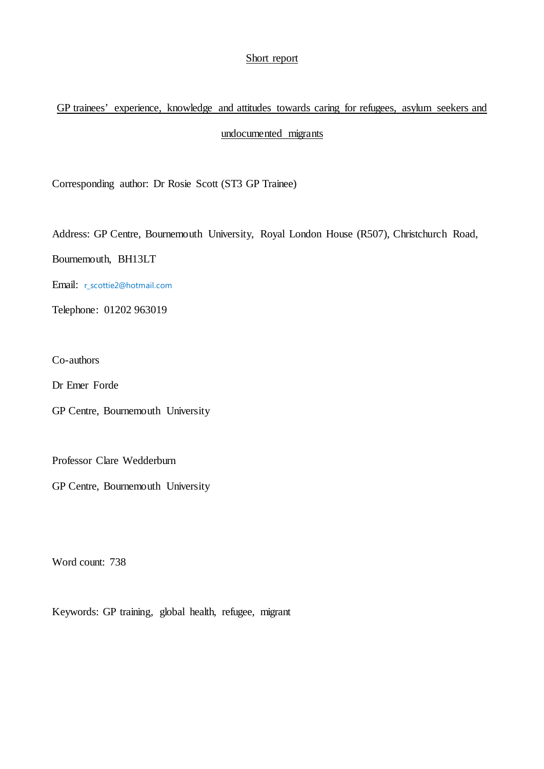## Short report

# GP trainees' experience, knowledge and attitudes towards caring for refugees, asylum seekers and undocumented migrants

Corresponding author: Dr Rosie Scott (ST3 GP Trainee)

Address: GP Centre, Bournemouth University, Royal London House (R507), Christchurch Road,

Bournemouth, BH13LT

Email: r\_scottie2@hotmail.com

Telephone: 01202 963019

Co-authors

Dr Emer Forde

GP Centre, Bournemouth University

Professor Clare Wedderburn

GP Centre, Bournemouth University

Word count: 738

Keywords: GP training, global health, refugee, migrant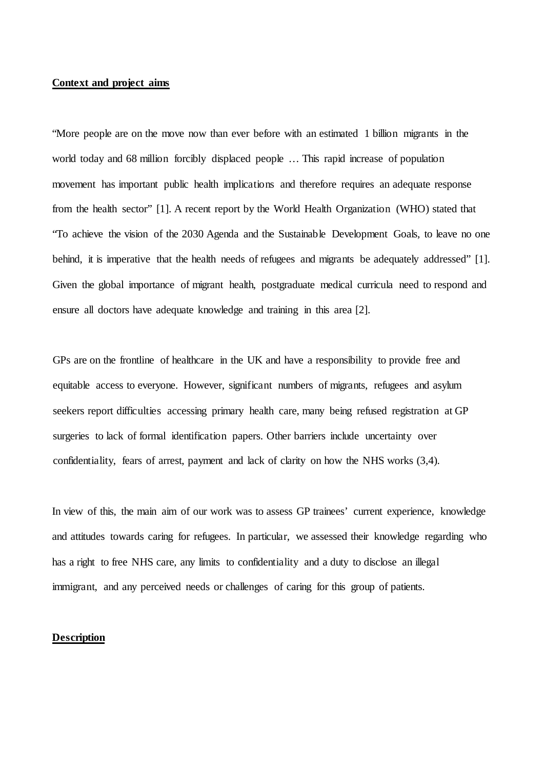## **Context and project aims**

"More people are on the move now than ever before with an estimated 1 billion migrants in the world today and 68 million forcibly displaced people … This rapid increase of population movement has important public health implications and therefore requires an adequate response from the health sector" [1]. A recent report by the World Health Organization (WHO) stated that "To achieve the vision of the 2030 Agenda and the Sustainable Development Goals, to leave no one behind, it is imperative that the health needs of refugees and migrants be adequately addressed" [1]. Given the global importance of migrant health, postgraduate medical curricula need to respond and ensure all doctors have adequate knowledge and training in this area [2].

GPs are on the frontline of healthcare in the UK and have a responsibility to provide free and equitable access to everyone. However, significant numbers of migrants, refugees and asylum seekers report difficulties accessing primary health care, many being refused registration at GP surgeries to lack of formal identification papers. Other barriers include uncertainty over confidentiality, fears of arrest, payment and lack of clarity on how the NHS works (3,4).

In view of this, the main aim of our work was to assess GP trainees' current experience, knowledge and attitudes towards caring for refugees. In particular, we assessed their knowledge regarding who has a right to free NHS care, any limits to confidentiality and a duty to disclose an illegal immigrant, and any perceived needs or challenges of caring for this group of patients.

## **Description**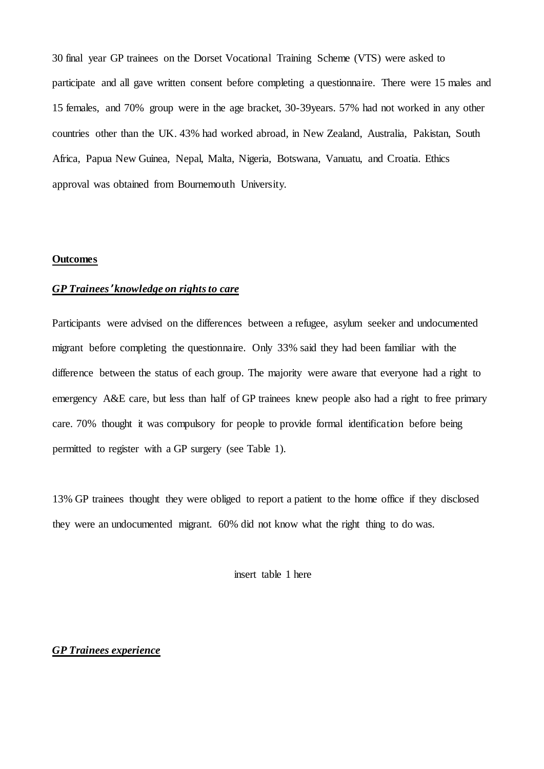30 final year GP trainees on the Dorset Vocational Training Scheme (VTS) were asked to participate and all gave written consent before completing a questionnaire. There were 15 males and 15 females, and 70% group were in the age bracket, 30-39years. 57% had not worked in any other countries other than the UK. 43% had worked abroad, in New Zealand, Australia, Pakistan, South Africa, Papua New Guinea, Nepal, Malta, Nigeria, Botswana, Vanuatu, and Croatia. Ethics approval was obtained from Bournemouth University.

### **Outcomes**

# *GP Trainees*' *knowledge on rightsto care*

Participants were advised on the differences between a refugee, asylum seeker and undocumented migrant before completing the questionnaire. Only 33% said they had been familiar with the difference between the status of each group. The majority were aware that everyone had a right to emergency A&E care, but less than half of GP trainees knew people also had a right to free primary care. 70% thought it was compulsory for people to provide formal identification before being permitted to register with a GP surgery (see Table 1).

13% GP trainees thought they were obliged to report a patient to the home office if they disclosed they were an undocumented migrant. 60% did not know what the right thing to do was.

insert table 1 here

## *GP Trainees experience*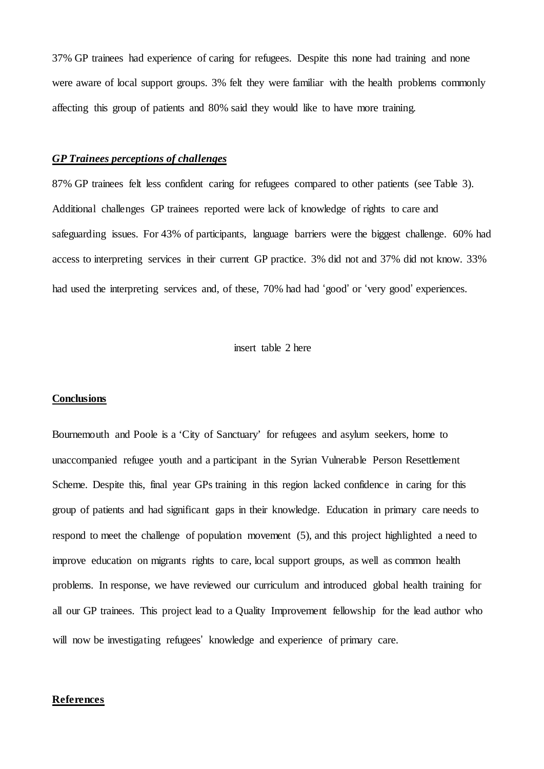37% GP trainees had experience of caring for refugees. Despite this none had training and none were aware of local support groups. 3% felt they were familiar with the health problems commonly affecting this group of patients and 80% said they would like to have more training.

### *GP Trainees perceptions of challenges*

87% GP trainees felt less confident caring for refugees compared to other patients (see Table 3). Additional challenges GP trainees reported were lack of knowledge of rights to care and safeguarding issues. For 43% of participants, language barriers were the biggest challenge. 60% had access to interpreting services in their current GP practice. 3% did not and 37% did not know. 33% had used the interpreting services and, of these, 70% had had 'good' or 'very good' experiences.

insert table 2 here

#### **Conclusions**

Bournemouth and Poole is a 'City of Sanctuary' for refugees and asylum seekers, home to unaccompanied refugee youth and a participant in the Syrian Vulnerable Person Resettlement Scheme. Despite this, final year GPs training in this region lacked confidence in caring for this group of patients and had significant gaps in their knowledge. Education in primary care needs to respond to meet the challenge of population movement (5), and this project highlighted a need to improve education on migrants rights to care, local support groups, as well as common health problems. In response, we have reviewed our curriculum and introduced global health training for all our GP trainees. This project lead to a Quality Improvement fellowship for the lead author who will now be investigating refugees' knowledge and experience of primary care.

#### **References**